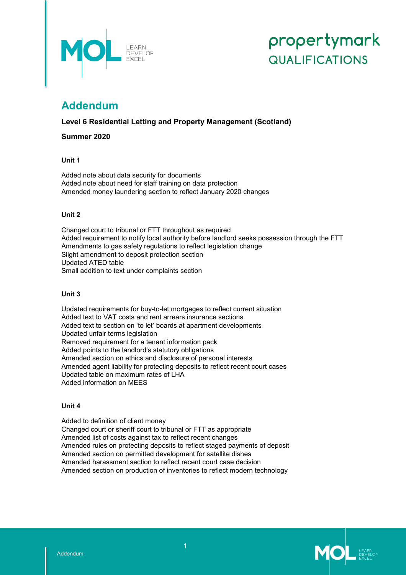

# propertymark **QUALIFICATIONS**

# **Addendum**

**Level 6 Residential Letting and Property Management (Scotland)**

**Summer 2020**

## **Unit 1**

Added note about data security for documents Added note about need for staff training on data protection Amended money laundering section to reflect January 2020 changes

# **Unit 2**

Changed court to tribunal or FTT throughout as required Added requirement to notify local authority before landlord seeks possession through the FTT Amendments to gas safety regulations to reflect legislation change Slight amendment to deposit protection section Updated ATED table Small addition to text under complaints section

## **Unit 3**

Updated requirements for buy-to-let mortgages to reflect current situation Added text to VAT costs and rent arrears insurance sections Added text to section on 'to let' boards at apartment developments Updated unfair terms legislation Removed requirement for a tenant information pack Added points to the landlord's statutory obligations Amended section on ethics and disclosure of personal interests Amended agent liability for protecting deposits to reflect recent court cases Updated table on maximum rates of LHA Added information on MEES

## **Unit 4**

Added to definition of client money Changed court or sheriff court to tribunal or FTT as appropriate Amended list of costs against tax to reflect recent changes Amended rules on protecting deposits to reflect staged payments of deposit Amended section on permitted development for satellite dishes Amended harassment section to reflect recent court case decision Amended section on production of inventories to reflect modern technology